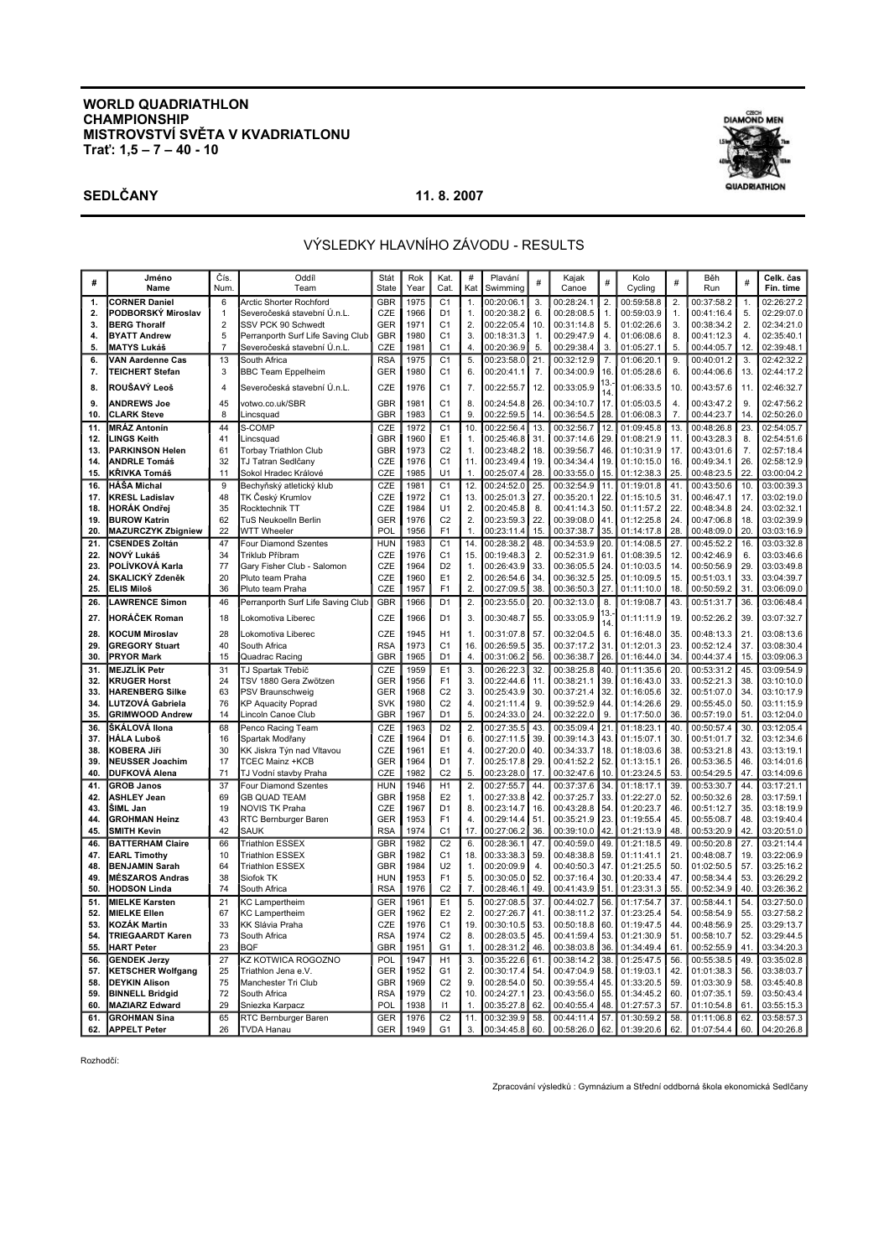### **WORLD QUADRIATHLON CHAMPIONSHIP MISTROVSTVÍ SVĚTA V KVADRIATLONU Trať: 1,5 – 7 – 40 - 10**





# VÝSLEDKY HLAVNÍHO ZÁVODU - RESULTS

| #          | Jméno<br>Name                                 | Čís<br>Num     | Oddíl<br>Team                              | Stát<br>State            | Rok<br>Year  | Kat.<br>Cat.                     | #<br>Kat            | Plavání<br>Swimming      | #          | Kajak<br>Canoe           | #          | Kolo<br>Cycling          | #          | Běh<br>Run               | #         | Celk. čas<br>Fin. time   |
|------------|-----------------------------------------------|----------------|--------------------------------------------|--------------------------|--------------|----------------------------------|---------------------|--------------------------|------------|--------------------------|------------|--------------------------|------------|--------------------------|-----------|--------------------------|
| 1.         | <b>CORNER Daniel</b>                          | 6              | Arctic Shorter Rochford                    | GBR                      | 1975         | C <sub>1</sub>                   | 1.                  | 00:20:06.1               | 3.         | 00:28:24.1               | 2.         | 00:59:58.8               | 2.         | 00:37:58.2               | 1.        | 02:26:27.2               |
| 2.         | PODBORSKÝ Miroslav                            | $\mathbf{1}$   | Severočeská stavební Ú.n.L.                | CZE                      | 1966         | D <sub>1</sub>                   | 1.                  | 00:20:38.2               | 6.         | 00:28:08.5               | 1.         | 00:59:03.9               | 1.         | 00:41:16.4               | 5.        | 02:29:07.0               |
| 3.         | <b>BERG Thoralf</b>                           | $\overline{2}$ | SSV PCK 90 Schwedt                         | <b>GER</b>               | 1971         | C <sub>1</sub>                   | 2.                  | 00:22:05.4               | 10.        | 00:31:14.8               | 5.         | 01:02:26.6               | 3.         | 00:38:34.2               | 2.        | 02:34:21.0               |
| 4.         | <b>BYATT Andrew</b>                           | 5              | Perranporth Surf Life Saving Club          | <b>GBR</b>               | 1980         | C <sub>1</sub>                   | 3.                  | 00:18:31.3               | 1.         | 00:29:47.9               | 4.         | 01:06:08.6               | 8.         | 00:41:12.3               | 4.        | 02:35:40.1               |
| 5.         | <b>MATYS Lukáš</b>                            | $\overline{7}$ | Severočeská stavební Ú.n.L.<br>CZE         |                          | 1981         | C <sub>1</sub>                   | 4.                  | 00:20:36.9               | 5.         | 00:29:38.4               | 3.         | 01:05:27.1               | 5.         | 00:44:05.7               | 12        | 02:39:48.1               |
| 6.         | VAN Aardenne Cas                              | 13             | South Africa                               | <b>RSA</b>               | 1975         | C <sub>1</sub>                   | 5.                  | 00:23:58.0               | 21.        | 00:32:12.9               | 7.         | 01:06:20.1               | 9.         | 00:40:01.2               | 3.        | 02:42:32.2               |
| 7.         | <b>TEICHERT Stefan</b>                        | 3              | <b>BBC Team Eppelheim</b>                  | <b>GER</b>               | 1980         | C <sub>1</sub>                   | 6.                  | 00:20:41.1               | 7.         | 00:34:00.9               | 16.        | 01:05:28.6               | 6.         | 00:44:06.6               | 13        | 02:44:17.2               |
| 8.         | ROUŠAVÝ Leoš                                  | $\overline{4}$ | Severočeská stavební Ú.n.L.                | CZE                      | 1976         | C <sub>1</sub>                   | 7.                  | 00:22:55.7               | 12.        | 00:33:05.9               | ΙЗ.<br>14  | 01:06:33.5               | 10.        | 00:43:57.6               | 11.       | 02:46:32.7               |
| 9.         | <b>ANDREWS Joe</b>                            | 45             | votwo.co.uk/SBR                            | GBR                      | 1981         | C <sub>1</sub>                   | 8.                  | 00:24:54.8               | 26.        | 00:34:10.7               | 17.        | 01:05:03.5               | 4.         | 00:43:47.2               | 9.        | 02:47:56.2               |
| 10.        | <b>CLARK Steve</b>                            | 8              | Lincsquad                                  | <b>GBR</b>               | 1983         | C <sub>1</sub>                   | 9.                  | 00:22:59.5               | 14.        | 00:36:54.5               | 28.        | 01:06:08.3               | 7.         | 00:44:23.7               | 14        | 02:50:26.0               |
| 11.        | <b>MRÁZ Antonín</b>                           | 44             | S-COMP                                     | CZE                      | 1972         | C <sub>1</sub>                   | 10.                 | 00:22:56.4               | 13.        | 00:32:56.7               | 12.        | 01:09:45.8               | 13.        | 00:48:26.8               | 23        | 02:54:05.7               |
| 12.        | <b>LINGS Keith</b>                            | 41             | Lincsquad                                  | <b>GBR</b>               | 1960         | E1                               | 1.                  | 00:25:46.8               | 31.        | 00:37:14.6               | 29.        | 01:08:21.9               | 11.        | 00:43:28.3               | 8.        | 02:54:51.6               |
| 13.        | <b>PARKINSON Helen</b>                        | 61             | <b>Torbay Triathlon Club</b>               | <b>GBR</b>               | 1973<br>1976 | C <sub>2</sub><br>C <sub>1</sub> | 1.                  | 00:23:48.2<br>00:23:49.4 | 18.        | 00:39:56.7               | 46.        | 01:10:31.9<br>01:10:15.0 | 17.        | 00:43:01.6               | 7.        | 02:57:18.4               |
| 14.<br>15. | <b>ANDRLE Tomáš</b><br><b>KRIVKA Tomáš</b>    | 32<br>11       | TJ Tatran Sedlčany<br>Sokol Hradec Králové | <b>CZE</b><br>CZE        | 1985         | U1                               | 11.<br>$\mathbf{1}$ | 00:25:07.4               | 19.<br>28. | 00:34:34.4<br>00:33:55.0 | 19.<br>15. | 01:12:38.3               | 16.<br>25. | 00:49:34.1<br>00:48:23.5 | 26.<br>22 | 02:58:12.9<br>03:00:04.2 |
| 16.        | <b>HÁŠA Michal</b>                            | 9              | Bechyňský atletický klub                   | CZE                      | 1981         | C <sub>1</sub>                   | 12.                 | 00:24:52.0               | 25.        | 00:32:54.9               | 11.        | 01:19:01.8               | 41.        | 00:43:50.6               | 10        | 03:00:39.3               |
| 17.        | <b>KRESL Ladislav</b>                         | 48             | TK Český Krumlov                           | CZE                      | 1972         | C <sub>1</sub>                   | 13.                 | 00:25:01.3               | 27.        | 00:35:20.1               | 22.        | 01:15:10.5               | 31.        | 00:46:47.1               | 17.       | 03:02:19.0               |
| 18.        | <b>HORÁK Ondřej</b>                           | 35             | Rocktechnik TT                             | CZE                      | 1984         | U1                               | 2.                  | 00:20:45.8               | 8.         | 00:41:14.3               | 50.        | 01:11:57.2               | 22.        | 00:48:34.8               | 24.       | 03:02:32.1               |
| 19.        | <b>BUROW Katrin</b>                           | 62             | <b>TuS Neukoelln Berlin</b>                | GER                      | 1976         | C <sub>2</sub>                   | 2.                  | 00:23:59.3               | 22.        | 00:39:08.0               | 41.        | 01:12:25.8               | 24.        | 00:47:06.8               | 18        | 03:02:39.9               |
| 20.        | <b>MAZURCZYK Zbigniew</b>                     | 22             | <b>WTT Wheeler</b>                         | POL                      | 1956         | F <sub>1</sub>                   | $\mathbf 1$         | 00:23:11.4               | 15.        | 00:37:38.7               | 35.        | 01:14:17.8               | 28.        | 00:48:09.0               | 20        | 03:03:16.9               |
| 21.        | <b>CSENDES Zoltán</b>                         | 47             | Four Diamond Szentes                       | <b>HUN</b>               | 1983         | C <sub>1</sub>                   | 14.                 | 00:28:38.2               | 48.        | 00:34:53.9               | 20.        | 01:14:08.5               | 27.        | 00:45:52.2               | 16        | 03:03:32.8               |
| 22.        | NOVÝ Lukáš                                    | 34             | Triklub Příbram                            | CZE                      | 1976         | C <sub>1</sub>                   | 15.                 | 00:19:48.3               | 2.         | 00:52:31.9               | 61.        | 01:08:39.5               | 12.        | 00:42:46.9               | 6.        | 03:03:46.6               |
| 23.        | POLÍVKOVÁ Karla                               | 77             | Gary Fisher Club - Salomon                 | CZE                      | 1964         | D <sub>2</sub>                   | 1.                  | 00:26:43.9               | 33.        | 00:36:05.5               | 24.        | 01:10:03.5               | 14.        | 00:50:56.9               | 29.       | 03:03:49.8               |
| 24.        | <b>SKALICKÝ Zdeněk</b>                        | 20             | Pluto team Praha                           | CZE                      | 1960         | E <sub>1</sub>                   | 2.                  | 00:26:54.6               | 34.        | 00:36:32.5               | 25.        | 01:10:09.5               | 15.        | 00:51:03.1               | 33.       | 03:04:39.7               |
| 25.        | <b>ELIS Miloš</b>                             | 36             | Pluto team Praha                           | CZE                      | 1957         | F <sub>1</sub>                   | 2.                  | 00:27:09.5               | 38.        | 00:36:50.3               | 27.        | 01:11:10.0               | 18.        | 00:50:59.2               | 31        | 03:06:09.0               |
| 26.        | <b>LAWRENCE Simon</b>                         | 46             | Perranporth Surf Life Saving Club          | <b>GBR</b>               | 1966         | D <sub>1</sub>                   | 2.                  | 00:23:55.0               | 20.        | 00:32:13.0               | 8.         | 01:19:08.7               | 43.        | 00:51:31.7               | 36.       | 03:06:48.4               |
| 27.        | HORÁČEK Roman                                 | 18             | Lokomotiva Liberec                         | CZE                      | 1966         | D <sub>1</sub>                   | 3.                  | 00:30:48.7               | 55.        | 00:33:05.9               | 13.<br>14  | 01:11:11.9               | 19.        | 00:52:26.2               | 39        | 03:07:32.7               |
| 28.        | <b>KOCUM Miroslav</b>                         | 28             | Lokomotiva Liberec                         | CZE                      | 1945         | H1                               | 1.                  | 00:31:07.8               | 57.        | 00:32:04.5               | 6.         | 01:16:48.0               | 35.        | 00:48:13.3               | 21        | 03:08:13.6               |
| 29.        | <b>GREGORY Stuart</b>                         | 40             | South Africa                               | <b>RSA</b>               | 1973         | C <sub>1</sub>                   | 16.                 | 00:26:59.5               | 35.        | 00:37:17.2               | 31.        | 01:12:01.3               | 23.        | 00:52:12.4               | 37        | 03:08:30.4               |
| 30.        | <b>PRYOR Mark</b>                             | 15             | Quadrac Racing                             | <b>GBR</b>               | 1965         | D <sub>1</sub>                   | 4.                  | 00:31:06.2               | 56.        | 00:36:38.7               | 26.        | 01:16:44.0               | 34.        | 00:44:37.4               | 15.       | 03:09:06.3               |
| 31.        | <b>MEJZLÍK Petr</b>                           | 31             | TJ Spartak Třebíč                          | CZE                      | 1959         | E1                               | 3.                  | 00:26:22.3               | 32.        | 00:38:25.8               | 40.        | 01:11:35.6               | 20.        | 00:53:31.2               | 45        | 03:09:54.9               |
| 32.        | <b>KRUGER Horst</b>                           | 24             | TSV 1880 Gera Zwötzen                      | <b>GER</b>               | 1956         | F <sub>1</sub>                   | 3.                  | 00:22:44.6               | 11.        | 00:38:21.1               | 39.        | 01:16:43.0               | 33.        | 00:52:21.3               | 38.       | 03:10:10.0               |
| 33.        | <b>HARENBERG Silke</b>                        | 63             | PSV Braunschweig                           | <b>GER</b>               | 1968         | C <sub>2</sub>                   | 3.                  | 00:25:43.9               | 30.        | 00:37:21.4               | 32.        | 01:16:05.6               | 32.        | 00:51:07.0               | 34.       | 03:10:17.9               |
| 34.<br>35. | LUTZOVÁ Gabriela                              | 76<br>14       | <b>KP Aquacity Poprad</b>                  | <b>SVK</b>               | 1980         | C <sub>2</sub><br>D <sub>1</sub> | 4.                  | 00:21:11.4               | 9.         | 00:39:52.9               | 44.        | 01:14:26.6               | 29.        | 00:55:45.0               | 50.<br>51 | 03:11:15.9               |
| 36.        | <b>GRIMWOOD Andrew</b><br>ŠKÁLOVÁ Ilona       | 68             | Lincoln Canoe Club<br>Penco Racing Team    | <b>GBR</b><br>CZE        | 1967<br>1963 | D <sub>2</sub>                   | 5.<br>2.            | 00:24:33.0<br>00:27:35.5 | 24.<br>43. | 00:32:22.0<br>00:35:09.4 | 9.<br>21.  | 01:17:50.0<br>01:18:23.1 | 36.<br>40. | 00:57:19.0<br>00:50:57.4 | 30        | 03:12:04.0<br>03:12:05.4 |
| 37.        | <b>HÁLA Luboš</b>                             | 16             | Spartak Modřany                            | CZE                      | 1964         | D <sub>1</sub>                   | 6.                  | 00:27:11.5               | 39.        | 00:39:14.3               | 43.        | 01:15:07.1               | 30.        | 00:51:01.7               | 32.       | 03:12:34.6               |
| 38.        | <b>KOBERA Jiří</b>                            | 30             | KK Jiskra Týn nad Vltavou                  | CZE                      | 1961         | E <sub>1</sub>                   | 4.                  | 00:27:20.0               | 40.        | 00:34:33.7               | 18.        | 01:18:03.6               | 38.        | 00:53:21.8               | 43        | 03:13:19.1               |
| 39.        | <b>NEUSSER Joachim</b>                        | 17             | <b>TCEC Mainz +KCB</b>                     | <b>GER</b>               | 1964         | D <sub>1</sub>                   | 7.                  | 00:25:17.8               | 29.        | 00:41:52.2               | 52.        | 01:13:15.1               | 26.        | 00:53:36.5               | 46.       | 03:14:01.6               |
| 40         | DUFKOVÁ Alena                                 | 71             | TJ Vodní stavby Praha                      | CZE                      | 1982         | C <sub>2</sub>                   | 5.                  | 00:23:28.0               | 17.        | 00:32:47.6               | 10.        | 01:23:24.5               | 53.        | 00:54:29.5               | 47.       | 03:14:09.6               |
| 41.        | <b>GROB Janos</b>                             | 37             | Four Diamond Szentes                       | <b>HUN</b>               | 1946         | H1                               | 2.                  | 00:27:55.7               | 44.        | 00:37:37.6               | 34.        | 01:18:17.1               | 39.        | 00:53:30.7               | 44        | 03:17:21.1               |
| 42.        | <b>ASHLEY Jean</b>                            | 69             | <b>GB QUAD TEAM</b>                        | <b>GBR</b>               | 1958         | E <sub>2</sub>                   | 1.                  | 00:27:33.8               | 42.        | 00:37:25.7               | 33.        | 01:22:27.0               | 52.        | 00:50:32.6               | 28.       | 03:17:59.1               |
| 43.        | ŠIML Jan                                      | 19             | <b>NOVIS TK Praha</b>                      | CZE                      | 1967         | D <sub>1</sub>                   | 8.                  | 00:23:14.7               | 16.        | 00:43:28.8               | 54.        | 01:20:23.7               | 46.        | 00:51:12.7               | 35        | 03:18:19.9               |
| 44.        | <b>GROHMAN Heinz</b>                          | 43             | RTC Bernburger Baren                       | GER                      | 1953         | F <sub>1</sub>                   | 4.                  | 00:29:14.4               | 51.        | 00:35:21.9               | 23.        | 01:19:55.4               | 45.        | 00:55:08.7               | 48        | 03:19:40.4               |
| 45.        | SMITH Kevin                                   | 42             | SAUK                                       | <b>RSA</b>               | 1974         | C <sub>1</sub>                   | 17.                 | 00:27:06.2               | 36.        | 00:39:10.0               | 42.        | 01:21:13.9               | 48.        | 00:53:20.9               | 42        | 03:20:51.0               |
| 46.        | <b>BATTERHAM Claire</b>                       | 66             | <b>Triathlon ESSEX</b>                     | <b>GBR</b>               | 1982         | C <sub>2</sub>                   | 6.                  | 00:28:36.1               | 47.        | 00:40:59.0               | 49.        | 01:21:18.5               | 49.        | 00:50:20.8               | 27.       | 03:21:14.4               |
| 47.        | <b>EARL Timothy</b>                           | 10             | <b>Triathlon ESSEX</b>                     | <b>GBR</b>               | 1982         | C <sub>1</sub>                   | 18.                 | 00:33:38.3               | 59.        | 00:48:38.8               | 59.        | 01:11:41.1               | 21.        | 00:48:08.7               | 19        | 03:22:06.9               |
| 48.<br>49. | <b>BENJAMIN Sarah</b>                         | 64<br>38       | Triathlon ESSEX                            | <b>GBR</b><br><b>HUN</b> | 1984<br>1953 | U <sub>2</sub><br>F <sub>1</sub> | 1.<br>5.            | 00:20:09.9               | 4.         | 00:40:50.3<br>00:37:16.4 | 47.<br>30. | 01:21:25.5               | 50.<br>47. | 01:02:50.5               | 57.       | 03:25:16.2               |
| 50.        | <b>MÉSZAROS Andras</b><br><b>HODSON Linda</b> | 74             | Siofok TK<br>South Africa                  | <b>RSA</b>               | 1976         | C <sub>2</sub>                   | 7.                  | 00:30:05.0<br>00:28:46.1 | 52.<br>49. | 00:41:43.9               | 51.        | 01:20:33.4<br>01:23:31.3 | 55.        | 00:58:34.4<br>00:52:34.9 | 53.<br>40 | 03:26:29.2<br>03:26:36.2 |
| 51.        | <b>MIELKE Karsten</b>                         | 21             | <b>KC Lampertheim</b>                      | GER                      | 1961         | E <sub>1</sub>                   | 5.                  | 00:27:08.5               | 37.        | 00:44:02.7               | 56.        | 01:17:54.7               | 37.        | 00:58:44.1               | 54        | 03:27:50.0               |
| 52.        | <b>MIELKE Ellen</b>                           | 67             | <b>KC Lampertheim</b>                      | <b>GER</b>               | 1962         | E <sub>2</sub>                   | 2.                  | 00:27:26.7               | 41.        | 00:38:11.2               | 37.        | 01:23:25.4               | 54.        | 00:58:54.9               | 55        | 03:27:58.2               |
| 53.        | <b>KOZÁK Martin</b>                           | 33             | KK Slávia Praha                            | CZE                      | 1976         | C <sub>1</sub>                   | 19.                 | 00:30:10.5               | 53.        | 00:50:18.8               | 60.        | 01:19:47.5               | 44.        | 00:48:56.9               | 25        | 03:29:13.7               |
| 54.        | <b>TRIEGAARDT Karen</b>                       | 73             | South Africa                               | <b>RSA</b>               | 1974         | C <sub>2</sub>                   | 8.                  | 00:28:03.5               | 45.        | 00:41:59.4               | 53.        | 01:21:30.9               | 51.        | 00:58:10.7               | 52.       | 03:29:44.5               |
| 55.        | <b>HART Peter</b>                             | 23             | <b>BQF</b>                                 | GBR                      | 1951         | G <sub>1</sub>                   | 1.                  | 00:28:31.2               | 46.        | 00:38:03.8               | 36.        | 01:34:49.4               | 61.        | 00:52:55.9               | 41        | 03:34:20.3               |
| 56.        | <b>GENDEK Jerzy</b>                           | 27             | <b>KZ KOTWICA ROGOZNO</b>                  | POL                      | 1947         | H1                               | 3.                  | 00:35:22.6               | 61.        | 00:38:14.2               | 38.        | 01:25:47.5               | 56.        | 00:55:38.5               | 49        | 03:35:02.8               |
| 57.        | <b>KETSCHER Wolfgang</b>                      | 25             | Triathlon Jena e.V.                        | <b>GER</b>               | 1952         | G <sub>1</sub>                   | 2.                  | 00:30:17.4               | 54.        | 00:47:04.9               | 58.        | 01:19:03.1               | 42.        | 01:01:38.3               | 56.       | 03:38:03.7               |
| 58.        | <b>DEYKIN Alison</b>                          | 75             | Manchester Tri Club                        | <b>GBR</b>               | 1969         | C <sub>2</sub>                   | 9.                  | 00:28:54.0               | 50.        | 00:39:55.4               | 45.        | 01:33:20.5               | 59.        | 01:03:30.9               | 58        | 03:45:40.8               |
| 59.        | <b>BINNELL Bridgid</b>                        | 72             | South Africa                               | <b>RSA</b>               | 1979         | C <sub>2</sub>                   | 10.                 | 00:24:27.1               | 23.        | 00:43:56.0               | 55.        | 01:34:45.2               | 60.        | 01:07:35.1               | 59        | 03:50:43.4               |
| 60.        | <b>MAZIARZ Edward</b>                         | 29             | Sniezka Karpacz                            | POL                      | 1938         | 11                               | $\mathbf{1}$        | 00:35:27.8               | 62.        | 00:40:55.4               | 48.        | 01:27:57.3               | 57.        | 01:10:54.8               | 61.       | 03:55:15.3               |
| 61.        | <b>GROHMAN Sina</b>                           | 65             | RTC Bernburger Baren                       | <b>GER</b>               | 1976         | C <sub>2</sub>                   | 11.                 | 00:32:39.9               | 58.        | 00:44:11.4               | 57.        | 01:30:59.2               | 58.        | 01:11:06.8               | 62.       | 03:58:57.3               |
| 62.        | <b>APPELT Peter</b>                           | 26             | TVDA Hanau                                 | <b>GER</b>               | 1949         | G <sub>1</sub>                   | 3.                  | 00:34:45.8               | 60.        | 00:58:26.0 62.           |            | 01:39:20.6               | 62.        | 01:07:54.4               | 60.       | 04:20:26.8               |

Rozhodčí:

Zpracování výsledků : Gymnázium a Střední oddborná škola ekonomická Sedlčany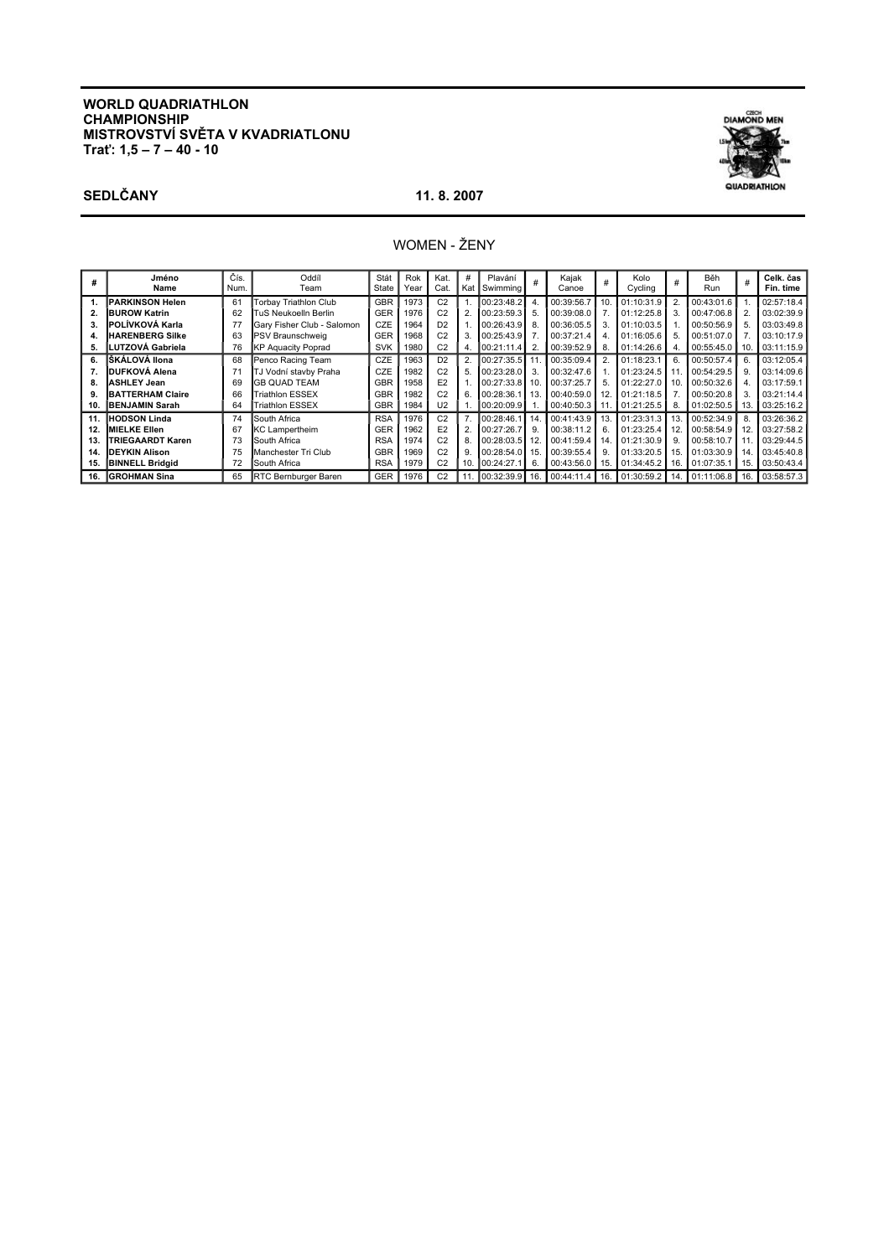# **WORLD QUADRIATHLON CHAMPIONSHIP** MISTROVSTVÍ SVĚTA V KVADRIATLONU<br>Trať: 1,5 – 7 – 40 - 10



# **SEDLČANY**

## 11.8.2007

# WOMEN - ŽENY

| #   | Jméno<br>Name             | Čís.<br>Num. | Oddíl<br>Team               | Stát<br>State | Rok<br>Year | Kat.<br>Cat.   | #<br>Kat       | Plavání<br>: Swimming        | #            | Kajak<br>Canoe    | #    | Kolo<br>Cycling | #   | Běh<br>Run       | $\#$           | Celk. čas<br>Fin. time |
|-----|---------------------------|--------------|-----------------------------|---------------|-------------|----------------|----------------|------------------------------|--------------|-------------------|------|-----------------|-----|------------------|----------------|------------------------|
|     | PARKINSON Helen           | 61           | Torbay Triathlon Club       | <b>GBR</b>    | 1973        | C <sub>2</sub> |                | 00:23:48.2                   |              | 00:39:56.7        | 10.  | 01:10:31.9      | 2   | 00:43:01.6       |                | 02:57:18.4             |
| 2.  | <b>BUROW Katrin</b>       | 62           | TuS Neukoelln Berlin        | <b>GER</b>    | 1976        | C <sub>2</sub> |                | 00:23:59.3                   | 5            | 00:39:08.0        |      | 01:12:25.8      | 3.  | 00:47:06.8       | $\overline{2}$ | 03:02:39.9             |
| 3.  | POLÍVKOVÁ Karla           | 77           | Gary Fisher Club - Salomon  | <b>CZE</b>    | 1964        | D <sub>2</sub> |                | 00:26:43.9                   | -8           | 00:36:05.5        |      | 01:10:03.5      |     | 00:50:56.9       | 5.             | 03:03:49.8             |
| 4.  | <b>HARENBERG Silke</b>    | 63           | PSV Braunschweig            | <b>GER</b>    | 1968        | C <sub>2</sub> | 3              | $00:25:43.9$ 7               |              | 00:37:21.4        |      | 01:16:05.6      | 5.  | 00:51:07.0       | 7.             | 03:10:17.9             |
| 5.  | <b>I</b> LUTZOVÁ Gabriela | 76           | <b>KP Aquacity Poprad</b>   | <b>SVK</b>    | 1980        | C <sub>2</sub> |                | 00:21:11.4                   |              | 00:39:52.9        |      | 01:14:26.6      | 4.  | 00:55:45.0   10. |                | 03:11:15.9             |
| 6.  | IŠKÁLOVÁ Ilona            | 68           | Penco Racing Team           | <b>CZE</b>    | 1963        | D <sub>2</sub> | $\overline{2}$ | 00:27:35.5                   | 11           | 00:35:09.4        |      | 01:18:23.1      | 6.  | 00:50:57.4       | 6.             | 03:12:05.4             |
| 7.  | <b>DUFKOVÁ Alena</b>      |              | TJ Vodní stavby Praha       | <b>CZE</b>    | 1982        | C <sub>2</sub> | 5              | 00:23:28.0                   |              | 00:32:47.6        |      | 01:23:24.5      | 11  | 00:54:29.5       | 9              | 03:14:09.6             |
| 8.  | <b>ASHLEY Jean</b>        | 69           | <b>GB OUAD TEAM</b>         | <b>GBR</b>    | 1958        | E <sub>2</sub> |                | 00:27:33.8                   | 10           | 00:37:25.7        | 5.   | 01:22:27.0      | 10. | 00:50:32.6       | $\overline{4}$ | 03:17:59.1             |
| 9.  | <b>BATTERHAM Claire</b>   | 66           | <b>Triathlon ESSEX</b>      | <b>GBR</b>    | 1982        | C <sub>2</sub> | 6.             | 00:28:36.1                   | 13           | 00:40:59.0        | 12.  | 01:21:18.5      |     | 00:50:20.8       | 3.             | 03:21:14.4             |
| 10. | <b>IBENJAMIN Sarah</b>    | 64           | Triathlon ESSEX             | <b>GBR</b>    | 1984        | U <sub>2</sub> |                | 00:20:09.9                   |              | $00:40:50.3$      |      | 01:21:25.5      | 8.  | 01:02:50.5       | 13.            | 03:25:16.2             |
| 11. | <b>IHODSON Linda</b>      | 74           | South Africa                | <b>RSA</b>    | 1976        | C <sub>2</sub> |                | 00:28:46.1                   | 14           | 00:41:43.9        | 13.  | 01:23:31.3      | 13. | 00:52:34.9       | 8.             | 03:26:36.2             |
| 12. | <b>MIELKE Ellen</b>       | 67           | <b>KC Lampertheim</b>       | <b>GER</b>    | 1962        | E <sub>2</sub> |                | 00:27:26.7                   | <sub>9</sub> | 00:38:11.2        | 6.   | 01:23:25.4      | 12. | 00:58:54.9       | 12.            | 03:27:58.2             |
| 13. | TRIEGAARDT Karen          | 73           | South Africa                | <b>RSA</b>    | 1974        | C <sub>2</sub> | 8.             | 00:28:03.5                   |              | 00:41:59.4        | 14.1 | 01:21:30.9      | 9.  | 00:58:10.7       |                | 03:29:44.5             |
| 14. | <b>DEYKIN Alison</b>      | 75           | Manchester Tri Club         | <b>GBR</b>    | 1969        | C <sub>2</sub> | 9              | 00:28:54.0                   | 15           | 00:39:55.4        |      | 01:33:20.5      | 15. | 01:03:30.9       | 14.            | 03:45:40.8             |
| 15. | <b>BINNELL Bridgid</b>    | 72           | <b>I</b> South Africa       | <b>RSA</b>    | 1979        | C <sub>2</sub> | 10.            | 100:24:27.1                  | 6            | 00:43:56.0        | 15.  | 01:34:45.2      | 16. | 01:07:35.1       | l 15.          | 03:50:43.4             |
| 16. | <b>IGROHMAN Sina</b>      | 65           | <b>RTC Bernburger Baren</b> | <b>GER</b>    | 1976        | C <sub>2</sub> | 11.            | $\big  00:32:39.9 \big  16.$ |              | $100:44:11.4$ 16. |      | 01:30:59.2      | 14. | 01:11:06.8 1 16. |                | 03:58:57.3             |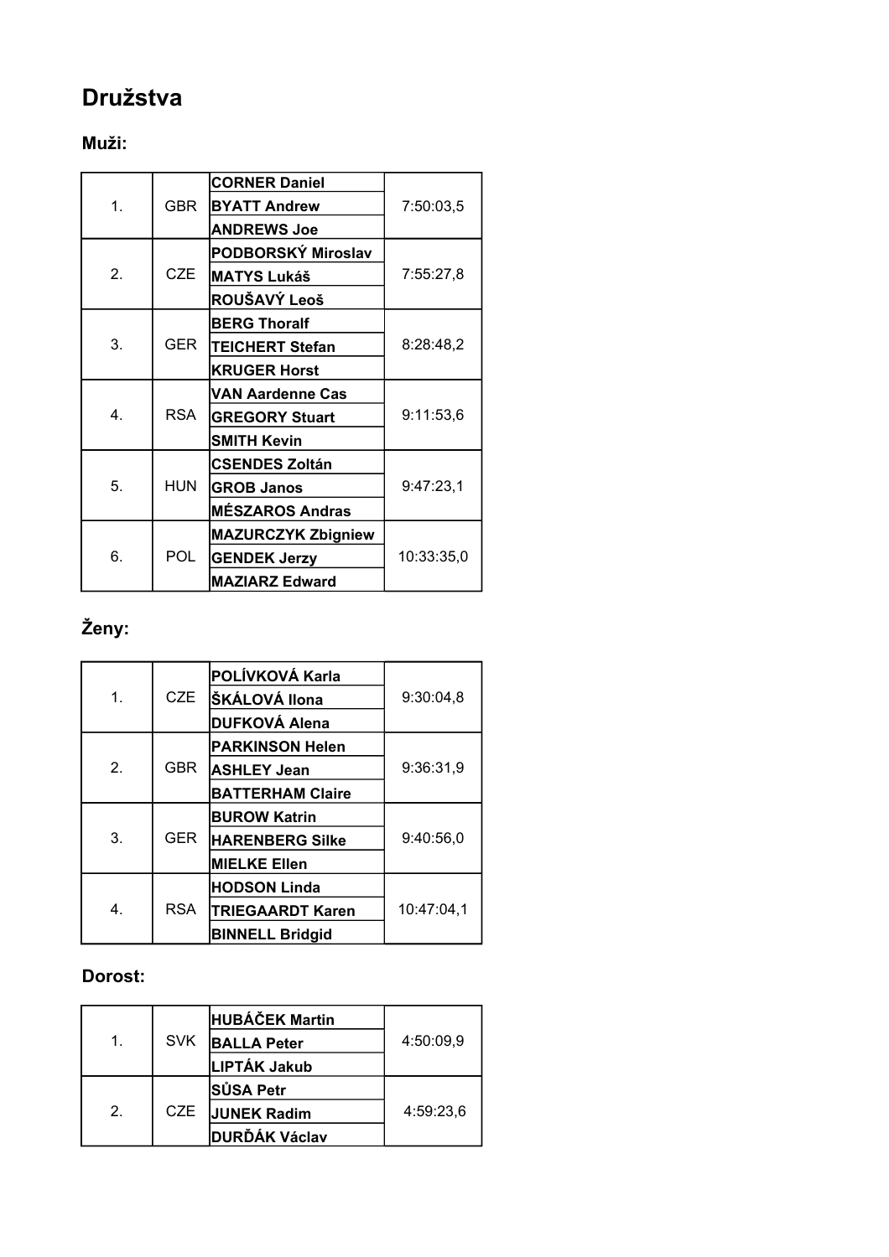# **Družstva**

# **Muži:**

|              |            | <b>CORNER Daniel</b>      |            |  |  |  |
|--------------|------------|---------------------------|------------|--|--|--|
| 1.           | <b>GBR</b> | <b>BYATT Andrew</b>       | 7:50:03,5  |  |  |  |
|              |            | <b>ANDREWS Joe</b>        |            |  |  |  |
|              |            | PODBORSKÝ Miroslav        |            |  |  |  |
| 2.           | CZE        | <b>MATYS Lukáš</b>        | 7:55:27,8  |  |  |  |
|              |            | ROUŠAVÝ Leoš              |            |  |  |  |
|              |            | <b>BERG Thoralf</b>       |            |  |  |  |
| 3.           | GER.       | <b>TEICHERT Stefan</b>    | 8:28:48,2  |  |  |  |
|              |            | <b>KRUGER Horst</b>       |            |  |  |  |
|              |            | <b>VAN Aardenne Cas</b>   |            |  |  |  |
| $\mathbf{4}$ | <b>RSA</b> | <b>GREGORY Stuart</b>     | 9:11:53,6  |  |  |  |
|              |            | <b>SMITH Kevin</b>        |            |  |  |  |
|              |            | <b>CSENDES Zoltán</b>     |            |  |  |  |
| 5.           | <b>HUN</b> | <b>GROB Janos</b>         | 9:47:23,1  |  |  |  |
|              |            | <b>MÉSZAROS Andras</b>    |            |  |  |  |
|              |            | <b>MAZURCZYK Zbigniew</b> |            |  |  |  |
| 6.           | POL        | <b>GENDEK Jerzy</b>       | 10:33:35,0 |  |  |  |
|              |            | <b>MAZIARZ Edward</b>     |            |  |  |  |

# **Ženy:**

|                |            | POLÍVKOVÁ Karla         |            |  |  |  |  |
|----------------|------------|-------------------------|------------|--|--|--|--|
| 1.             | CZE        | ŠKÁLOVÁ Ilona           | 9:30:04,8  |  |  |  |  |
|                |            | <b>DUFKOVÁ Alena</b>    |            |  |  |  |  |
|                |            | <b>PARKINSON Helen</b>  |            |  |  |  |  |
| 2 <sub>1</sub> | <b>GBR</b> | <b>ASHLEY Jean</b>      | 9:36:31.9  |  |  |  |  |
|                |            | <b>BATTERHAM Claire</b> |            |  |  |  |  |
|                |            | <b>BUROW Katrin</b>     |            |  |  |  |  |
| 3.             | <b>GER</b> | <b>HARENBERG Silke</b>  | 9:40:56,0  |  |  |  |  |
|                |            | <b>MIELKE Ellen</b>     |            |  |  |  |  |
|                |            | <b>HODSON Linda</b>     |            |  |  |  |  |
| 4.             | <b>RSA</b> | <b>TRIEGAARDT Karen</b> | 10:47:04,1 |  |  |  |  |
|                |            | <b>BINNELL Bridgid</b>  |            |  |  |  |  |

# **Dorost:**

|               |            | <b>HUBÁČEK Martin</b> |           |
|---------------|------------|-----------------------|-----------|
| 1.            | <b>SVK</b> | <b>BALLA Peter</b>    | 4:50:09,9 |
|               |            | LIPTÁK Jakub          |           |
|               |            | <b>SUSA Petr</b>      |           |
| $\mathcal{P}$ | CZE.       | <b>JUNEK Radim</b>    | 4:59:23.6 |
|               |            | <b>DURĎÁK Václav</b>  |           |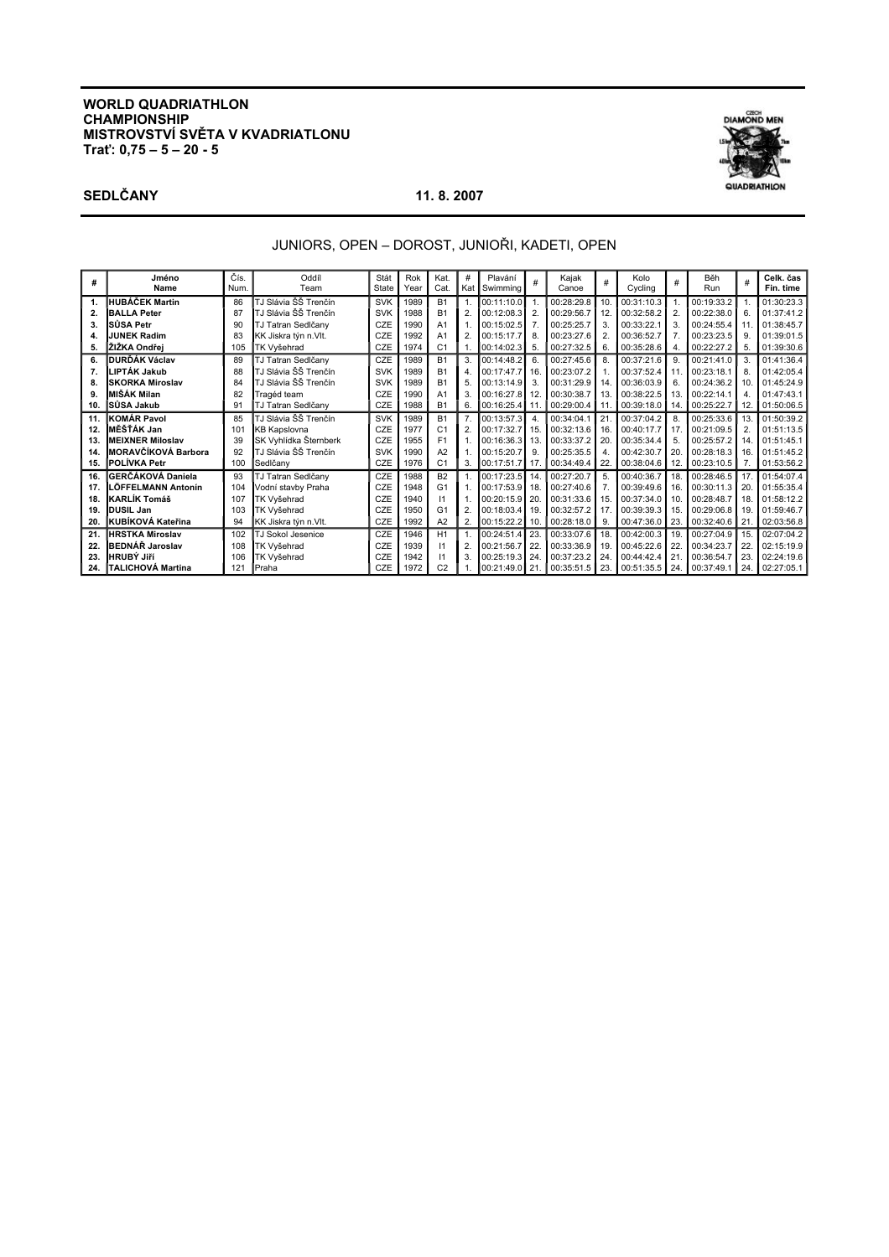### **WORLD QUADRIATHLON CHAMPIONSHIP MISTROVSTVÍ SVĚTA V KVADRIATLONU Trať: 0,75 – 5 – 20 - 5**

**SEDLČANY 11. 8. 2007** 

DIAMOND MEN QUADRIATHION

# JUNIORS, OPEN – DOROST, JUNIOŘI, KADETI, OPEN

| #   | Jméno<br>Name             | Čís.<br>Num. | Oddíl<br>Team         | Stát<br>State | Rok<br>Year | Kat.<br>Cat.   | #              | Plavání<br>Kat Swimming | #   | Kajak<br>Canoe | #   | Kolo<br>Cycling | #              | Běh<br>Run |                | Celk. čas<br>Fin. time |
|-----|---------------------------|--------------|-----------------------|---------------|-------------|----------------|----------------|-------------------------|-----|----------------|-----|-----------------|----------------|------------|----------------|------------------------|
| 1.  | HUBÁČEK Martin            | 86           | TJ Slávia ŠŠ Trenčín  | <b>SVK</b>    | 1989        | <b>B1</b>      |                | 00:11:10.0              |     | 00:28:29.8     | 10. | 00:31:10.3      |                | 00:19:33.2 |                | 01:30:23.3             |
| 2.  | <b>BALLA Peter</b>        | 87           | TJ Slávia ŠŠ Trenčín  | <b>SVK</b>    | 1988        | <b>B1</b>      |                | 00:12:08.3              |     | 00:29:56.7     | 12  | 00:32:58.2      | $\overline{2}$ | 00:22:38.0 | 6.             | 01:37:41.2             |
| 3.  | SŮSA Petr                 | 90           | TJ Tatran Sedlčany    | CZE           | 1990        | A <sub>1</sub> |                | 00:15:02.5              |     | 00:25:25.7     | 3.  | 00:33:22.1      | 3.             | 00:24:55.4 | 11             | 01:38:45.7             |
| 4.  | <b>JUNEK Radim</b>        | 83           | KK Jiskra týn n.Vlt.  | CZE           | 1992        | A <sub>1</sub> | $\overline{2}$ | 00:15:17.7              | 8   | 00:23:27.6     |     | 00:36:52.7      | 7.             | 00:23:23.5 | 9              | 01:39:01.5             |
| 5.  | IŽIŽKA Ondřei             | 105          | TK Vyšehrad           | CZE           | 1974        | C <sub>1</sub> |                | 00:14:02.3              | 5   | 00:27:32.5     | 6.  | 00:35:28.6      | 4.             | 00:22:27.2 | 5.             | 01:39:30.6             |
| 6.  | DURĎÁK Václav             | 89           | TJ Tatran Sedlčany    | CZE           | 1989        | <b>B1</b>      | 3.             | 00:14:48.2              |     | 00:27:45.6     | 8.  | 00:37:21.6      | 9.             | 00:21:41.0 | 3.             | 01:41:36.4             |
| 7.  | LIPTÁK Jakub              | 88           | TJ Slávia ŠŠ Trenčín  | <b>SVK</b>    | 1989        | <b>B1</b>      |                | 00:17:47.7 16           |     | 00:23:07.2     |     | 00:37:52.4      | 11             | 00:23:18.1 | 8.             | 01:42:05.4             |
| 8.  | <b>SKORKA Miroslav</b>    | 84           | TJ Slávia ŠŠ Trenčín  | <b>SVK</b>    | 1989        | <b>B1</b>      | 5              | 00:13:14.9              | 3   | 00:31:29.9     | 14. | 00:36:03.9      | 6.             | 00:24:36.2 | 10             | 01:45:24.9             |
| 9.  | MIŠÁK Milan               | 82           | Tragéd team           | CZE           | 1990        | A <sub>1</sub> | 3              | 00:16:27.8              |     | 00:30:38.7     | 13. | 00:38:22.5      | 13.            | 00:22:14.1 | 4              | 01:47:43.1             |
| 10. | SÜSA Jakub                | 91           | TJ Tatran Sedlčany    | <b>CZE</b>    | 1988        | <b>B1</b>      | 6.             | 00:16:25.4 11           |     | 00:29:00.4     |     | 00:39:18.0      | 14.            | 00:25:22.7 | 12.            | 01:50:06.5             |
| 11. | <b>KOMÁR Pavol</b>        | 85           | TJ Slávia ŠŠ Trenčín  | <b>SVK</b>    | 1989        | <b>B1</b>      |                | 00:13:57.3              |     | 00:34:04.1     | 21  | 00:37:04.2      | 8.             | 00:25:33.6 | 13             | 01:50:39.2             |
| 12. | MĚŠŤÁK Jan                | 101          | <b>KB Kapslovna</b>   | CZE           | 1977        | C <sub>1</sub> | 2              | 00:17:32.7 15           |     | 00:32:13.6     | 16. | 00:40:17.7      | 17             | 00:21:09.5 | $\overline{2}$ | 01:51:13.5             |
| 13. | <b>MEIXNER Miloslav</b>   | 39           | SK Vyhlídka Šternberk | CZE           | 1955        | F <sub>1</sub> |                | 00:16:36.3              | -13 | 00:33:37.2     | 20  | 00:35:34.4      | 5.             | 00:25:57.2 | 14             | 01:51:45.1             |
| 14. | MORAVČÍKOVÁ Barbora       | 92           | TJ Slávia ŠŠ Trenčín  | <b>SVK</b>    | 1990        | A2             |                | 00:15:20.7              | 9   | 00:25:35.5     |     | 00:42:30.7      | 20.            | 00:28:18.3 | 16             | 01:51:45.2             |
|     | 15. IPOLÍVKA Petr         | 100          | Sedlčanv              | <b>CZE</b>    | 1976        | C <sub>1</sub> | 3.             | 00:17:51.7              | -17 | 00:34:49.4     | 22. | 00:38:04.6      | 12.            | 00:23:10.5 | 7.             | 01:53:56.2             |
| 16. | GERČÁKOVÁ Daniela         | 93           | TJ Tatran Sedlčany    | CZE           | 1988        | <b>B2</b>      |                | 00:17:23.5              | 14  | 00:27:20.7     | 5.  | 00:40:36.7      | 18.            | 00:28:46.5 | 17             | 01:54:07.4             |
| 17. | LÖFFELMANN Antonín        | 104          | Vodní stavby Praha    | CZE           | 1948        | G <sub>1</sub> |                | 00:17:53.9              |     | 00:27:40.6     |     | 00:39:49.6      | 16.            | 00:30:11.3 | 20             | 01:55:35.4             |
| 18. | KARLÍK Tomáš              | 107          | TK Vyšehrad           | CZE           | 1940        | $\mathsf{I}$   |                | 00:20:15.9 20           |     | 00:31:33.6     | 15. | 00:37:34.0      | 10.            | 00:28:48.7 | 18             | 01:58:12.2             |
| 19. | <b>DUSIL Jan</b>          | 103          | TK Vyšehrad           | CZE           | 1950        | G <sub>1</sub> | $\overline{2}$ | 00:18:03.4 19           |     | 00:32:57.2     |     | 00:39:39.3      | 15             | 00:29:06.8 | 19             | 01:59:46.7             |
| 20. | <b>IKUBÍKOVÁ Kateřina</b> | 94           | KK Jiskra týn n.Vlt.  | <b>CZE</b>    | 1992        | A2             | 2.             | 100:15:22.2             | 10. | 00:28:18.0     | 9.  | 00:47:36.0      | 23.            | 00:32:40.6 | 21.            | 02:03:56.8             |
| 21. | <b>HRSTKA Miroslav</b>    | 102          | TJ Sokol Jesenice     | CZE           | 1946        | H1             |                | 00:24:51.4              |     | 00:33:07.6     | 18. | 00:42:00.3      | 19.            | 00:27:04.9 | 15             | 02:07:04.2             |
| 22. | BEDNÁŘ Jaroslav           | 108          | TK Vyšehrad           | CZE           | 1939        | $\mathsf{I}$   |                | 00:21:56.7              | 22  | 00:33:36.9     | 19. | 00:45:22.6      | 22             | 00:34:23.7 | 22             | 02:15:19.9             |
| 23. | <b>HRUBÝ JIří</b>         | 106          | TK Vyšehrad           | CZE           | 1942        | 11             | 3              | 00:25:19.3 24           |     | 00:37:23.2     | 24  | 00:44:42.4      | 21             | 00:36:54.7 | 23             | 02:24:19.6             |
| 24. | <b>ITALICHOVÁ Martina</b> | 121          | <b>I</b> Praha        | CZE           | 1972        | C <sub>2</sub> |                | 00:21:49.0 21           |     | 00:35:51.5     | 23. | 00:51:35.5      | 24.            | 00:37:49.1 | 24.            | 02:27:05.1             |